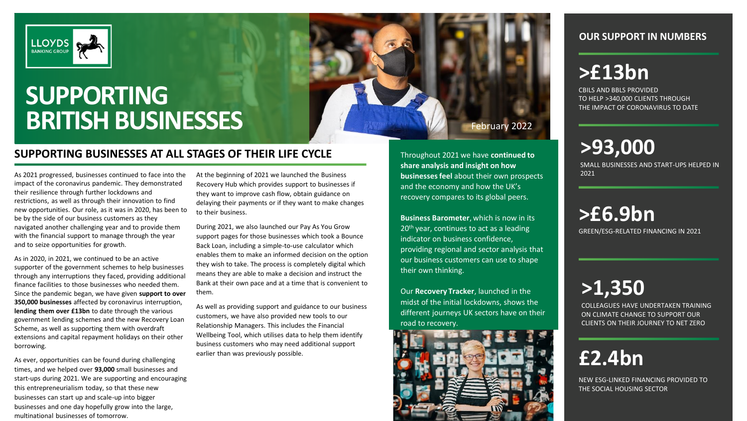

# **SUPPORTING BRITISH BUSINESSES** February 2022

### **SUPPORTING BUSINESSES AT ALL STAGES OF THEIR LIFE CYCLE**

As 2021 progressed, businesses continued to face into the impact of the coronavirus pandemic. They demonstrated their resilience through further lockdowns and restrictions, as well as through their innovation to find new opportunities. Our role, as it was in 2020, has been to be by the side of our business customers as they navigated another challenging year and to provide them with the financial support to manage through the year and to seize opportunities for growth.

As in 2020, in 2021, we continued to be an active supporter of the government schemes to help businesses through any interruptions they faced, providing additional finance facilities to those businesses who needed them. Since the pandemic began, we have given **support to over 350,000 businesses** affected by coronavirus interruption, **lending them over £13bn** to date through the various government lending schemes and the new Recovery Loan Scheme, as well as supporting them with overdraft extensions and capital repayment holidays on their other borrowing.

As ever, opportunities can be found during challenging times, and we helped over **93,000** small businesses and start-ups during 2021. We are supporting and encouraging this entrepreneurialism today, so that these new businesses can start up and scale-up into bigger businesses and one day hopefully grow into the large, multinational businesses of tomorrow.

At the beginning of 2021 we launched the Business Recovery Hub which provides support to businesses if they want to improve cash flow, obtain guidance on delaying their payments or if they want to make changes to their business.

During 2021, we also launched our Pay As You Grow support pages for those businesses which took a Bounce Back Loan, including a simple-to-use calculator which enables them to make an informed decision on the option they wish to take. The process is completely digital which means they are able to make a decision and instruct the Bank at their own pace and at a time that is convenient to them.

As well as providing support and guidance to our business customers, we have also provided new tools to our Relationship Managers. This includes the Financial Wellbeing Tool, which utilises data to help them identify business customers who may need additional support earlier than was previously possible.

Throughout 2021 we have **continued to share analysis and insight on how businesses feel** about their own prospects and the economy and how the UK's recovery compares to its global peers.

**Business Barometer**, which is now in its 20<sup>th</sup> year, continues to act as a leading indicator on business confidence, providing regional and sector analysis that our business customers can use to shape their own thinking.

Our **Recovery Tracker**, launched in the midst of the initial lockdowns, shows the different journeys UK sectors have on their road to recovery.



### **OUR SUPPORT IN NUMBERS**

## **>£13bn**

CBILS AND BBLS PROVIDED TO HELP >340,000 CLIENTS THROUGH THE IMPACT OF CORONAVIRUS TO DATE

**>93,000**

SMALL BUSINESSES AND START-UPS HELPED IN 2021

**>£6.9bn** GREEN/ESG-RELATED FINANCING IN 2021

**>1,350**

COLLEAGUES HAVE UNDERTAKEN TRAINING ON CLIMATE CHANGE TO SUPPORT OUR CLIENTS ON THEIR JOURNEY TO NET ZERO

## **£2.4bn**

NEW ESG-LINKED FINANCING PROVIDED TO THE SOCIAL HOUSING SECTOR